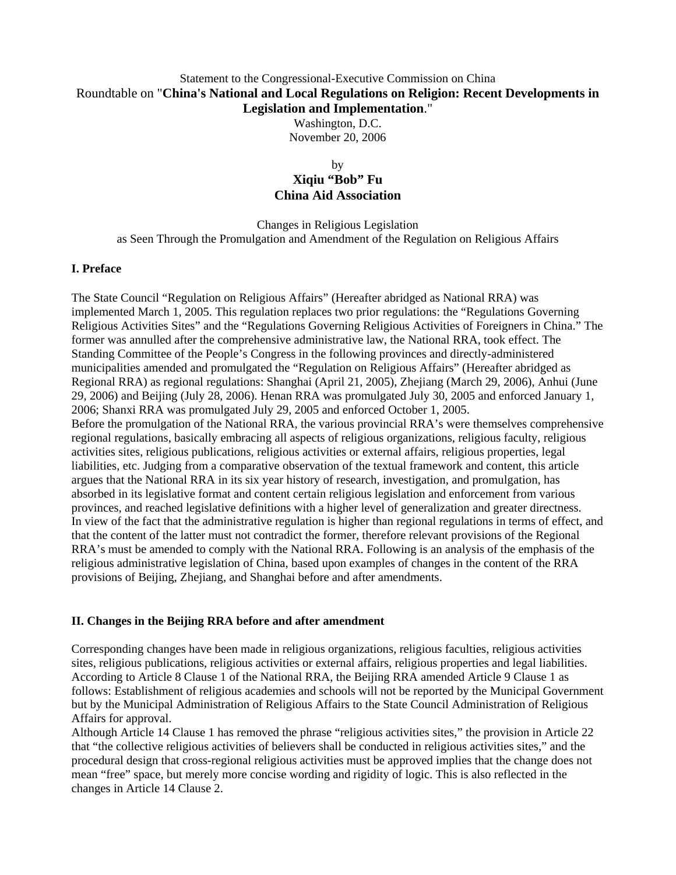# Statement to the Congressional-Executive Commission on China Roundtable on "**China's National and Local Regulations on Religion: Recent Developments in Legislation and Implementation**."

Washington, D.C. November 20, 2006

## by **Xiqiu "Bob" Fu China Aid Association**

Changes in Religious Legislation as Seen Through the Promulgation and Amendment of the Regulation on Religious Affairs

### **I. Preface**

The State Council "Regulation on Religious Affairs" (Hereafter abridged as National RRA) was implemented March 1, 2005. This regulation replaces two prior regulations: the "Regulations Governing Religious Activities Sites" and the "Regulations Governing Religious Activities of Foreigners in China." The former was annulled after the comprehensive administrative law, the National RRA, took effect. The Standing Committee of the People's Congress in the following provinces and directly-administered municipalities amended and promulgated the "Regulation on Religious Affairs" (Hereafter abridged as Regional RRA) as regional regulations: Shanghai (April 21, 2005), Zhejiang (March 29, 2006), Anhui (June 29, 2006) and Beijing (July 28, 2006). Henan RRA was promulgated July 30, 2005 and enforced January 1, 2006; Shanxi RRA was promulgated July 29, 2005 and enforced October 1, 2005. Before the promulgation of the National RRA, the various provincial RRA's were themselves comprehensive regional regulations, basically embracing all aspects of religious organizations, religious faculty, religious activities sites, religious publications, religious activities or external affairs, religious properties, legal liabilities, etc. Judging from a comparative observation of the textual framework and content, this article argues that the National RRA in its six year history of research, investigation, and promulgation, has absorbed in its legislative format and content certain religious legislation and enforcement from various provinces, and reached legislative definitions with a higher level of generalization and greater directness. In view of the fact that the administrative regulation is higher than regional regulations in terms of effect, and that the content of the latter must not contradict the former, therefore relevant provisions of the Regional RRA's must be amended to comply with the National RRA. Following is an analysis of the emphasis of the religious administrative legislation of China, based upon examples of changes in the content of the RRA provisions of Beijing, Zhejiang, and Shanghai before and after amendments.

### **II. Changes in the Beijing RRA before and after amendment**

Corresponding changes have been made in religious organizations, religious faculties, religious activities sites, religious publications, religious activities or external affairs, religious properties and legal liabilities. According to Article 8 Clause 1 of the National RRA, the Beijing RRA amended Article 9 Clause 1 as follows: Establishment of religious academies and schools will not be reported by the Municipal Government but by the Municipal Administration of Religious Affairs to the State Council Administration of Religious Affairs for approval.

Although Article 14 Clause 1 has removed the phrase "religious activities sites," the provision in Article 22 that "the collective religious activities of believers shall be conducted in religious activities sites," and the procedural design that cross-regional religious activities must be approved implies that the change does not mean "free" space, but merely more concise wording and rigidity of logic. This is also reflected in the changes in Article 14 Clause 2.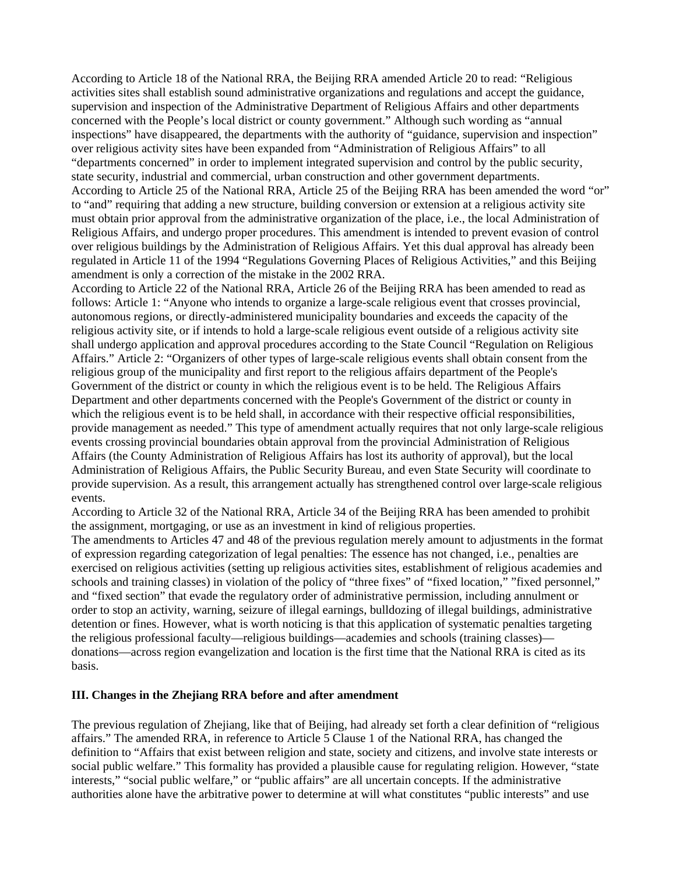According to Article 18 of the National RRA, the Beijing RRA amended Article 20 to read: "Religious activities sites shall establish sound administrative organizations and regulations and accept the guidance, supervision and inspection of the Administrative Department of Religious Affairs and other departments concerned with the People's local district or county government." Although such wording as "annual inspections" have disappeared, the departments with the authority of "guidance, supervision and inspection" over religious activity sites have been expanded from "Administration of Religious Affairs" to all "departments concerned" in order to implement integrated supervision and control by the public security, state security, industrial and commercial, urban construction and other government departments. According to Article 25 of the National RRA, Article 25 of the Beijing RRA has been amended the word "or" to "and" requiring that adding a new structure, building conversion or extension at a religious activity site must obtain prior approval from the administrative organization of the place, i.e., the local Administration of Religious Affairs, and undergo proper procedures. This amendment is intended to prevent evasion of control over religious buildings by the Administration of Religious Affairs. Yet this dual approval has already been regulated in Article 11 of the 1994 "Regulations Governing Places of Religious Activities," and this Beijing amendment is only a correction of the mistake in the 2002 RRA.

According to Article 22 of the National RRA, Article 26 of the Beijing RRA has been amended to read as follows: Article 1: "Anyone who intends to organize a large-scale religious event that crosses provincial, autonomous regions, or directly-administered municipality boundaries and exceeds the capacity of the religious activity site, or if intends to hold a large-scale religious event outside of a religious activity site shall undergo application and approval procedures according to the State Council "Regulation on Religious Affairs." Article 2: "Organizers of other types of large-scale religious events shall obtain consent from the religious group of the municipality and first report to the religious affairs department of the People's Government of the district or county in which the religious event is to be held. The Religious Affairs Department and other departments concerned with the People's Government of the district or county in which the religious event is to be held shall, in accordance with their respective official responsibilities, provide management as needed." This type of amendment actually requires that not only large-scale religious events crossing provincial boundaries obtain approval from the provincial Administration of Religious Affairs (the County Administration of Religious Affairs has lost its authority of approval), but the local Administration of Religious Affairs, the Public Security Bureau, and even State Security will coordinate to provide supervision. As a result, this arrangement actually has strengthened control over large-scale religious events.

According to Article 32 of the National RRA, Article 34 of the Beijing RRA has been amended to prohibit the assignment, mortgaging, or use as an investment in kind of religious properties.

The amendments to Articles 47 and 48 of the previous regulation merely amount to adjustments in the format of expression regarding categorization of legal penalties: The essence has not changed, i.e., penalties are exercised on religious activities (setting up religious activities sites, establishment of religious academies and schools and training classes) in violation of the policy of "three fixes" of "fixed location," "fixed personnel," and "fixed section" that evade the regulatory order of administrative permission, including annulment or order to stop an activity, warning, seizure of illegal earnings, bulldozing of illegal buildings, administrative detention or fines. However, what is worth noticing is that this application of systematic penalties targeting the religious professional faculty—religious buildings—academies and schools (training classes) donations—across region evangelization and location is the first time that the National RRA is cited as its basis.

### **III. Changes in the Zhejiang RRA before and after amendment**

The previous regulation of Zhejiang, like that of Beijing, had already set forth a clear definition of "religious affairs." The amended RRA, in reference to Article 5 Clause 1 of the National RRA, has changed the definition to "Affairs that exist between religion and state, society and citizens, and involve state interests or social public welfare." This formality has provided a plausible cause for regulating religion. However, "state interests," "social public welfare," or "public affairs" are all uncertain concepts. If the administrative authorities alone have the arbitrative power to determine at will what constitutes "public interests" and use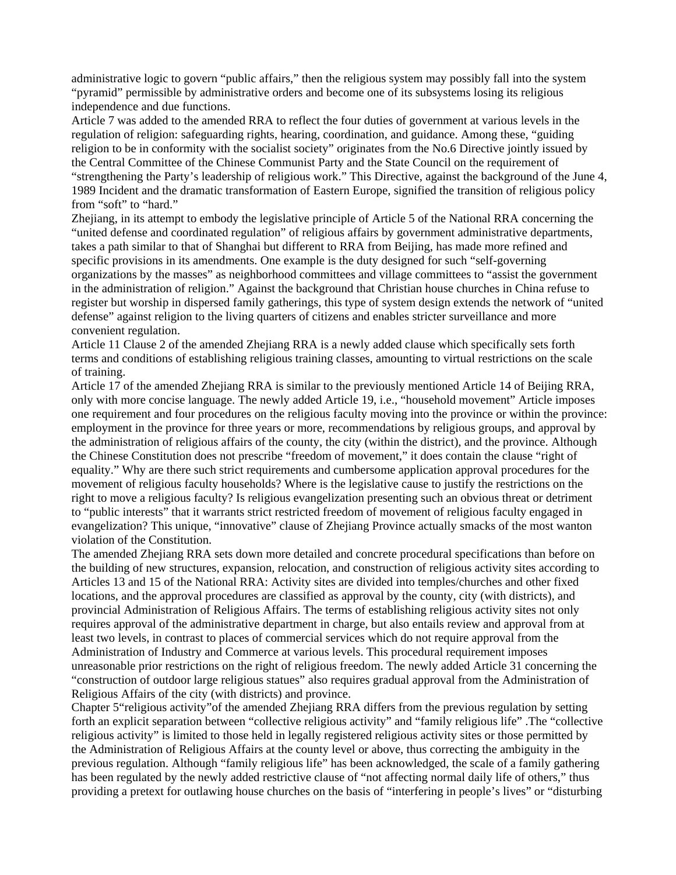administrative logic to govern "public affairs," then the religious system may possibly fall into the system "pyramid" permissible by administrative orders and become one of its subsystems losing its religious independence and due functions.

Article 7 was added to the amended RRA to reflect the four duties of government at various levels in the regulation of religion: safeguarding rights, hearing, coordination, and guidance. Among these, "guiding religion to be in conformity with the socialist society" originates from the No.6 Directive jointly issued by the Central Committee of the Chinese Communist Party and the State Council on the requirement of "strengthening the Party's leadership of religious work." This Directive, against the background of the June 4, 1989 Incident and the dramatic transformation of Eastern Europe, signified the transition of religious policy from "soft" to "hard."

Zhejiang, in its attempt to embody the legislative principle of Article 5 of the National RRA concerning the "united defense and coordinated regulation" of religious affairs by government administrative departments, takes a path similar to that of Shanghai but different to RRA from Beijing, has made more refined and specific provisions in its amendments. One example is the duty designed for such "self-governing organizations by the masses" as neighborhood committees and village committees to "assist the government in the administration of religion." Against the background that Christian house churches in China refuse to register but worship in dispersed family gatherings, this type of system design extends the network of "united defense" against religion to the living quarters of citizens and enables stricter surveillance and more convenient regulation.

Article 11 Clause 2 of the amended Zhejiang RRA is a newly added clause which specifically sets forth terms and conditions of establishing religious training classes, amounting to virtual restrictions on the scale of training.

Article 17 of the amended Zhejiang RRA is similar to the previously mentioned Article 14 of Beijing RRA, only with more concise language. The newly added Article 19, i.e., "household movement" Article imposes one requirement and four procedures on the religious faculty moving into the province or within the province: employment in the province for three years or more, recommendations by religious groups, and approval by the administration of religious affairs of the county, the city (within the district), and the province. Although the Chinese Constitution does not prescribe "freedom of movement," it does contain the clause "right of equality." Why are there such strict requirements and cumbersome application approval procedures for the movement of religious faculty households? Where is the legislative cause to justify the restrictions on the right to move a religious faculty? Is religious evangelization presenting such an obvious threat or detriment to "public interests" that it warrants strict restricted freedom of movement of religious faculty engaged in evangelization? This unique, "innovative" clause of Zhejiang Province actually smacks of the most wanton violation of the Constitution.

The amended Zhejiang RRA sets down more detailed and concrete procedural specifications than before on the building of new structures, expansion, relocation, and construction of religious activity sites according to Articles 13 and 15 of the National RRA: Activity sites are divided into temples/churches and other fixed locations, and the approval procedures are classified as approval by the county, city (with districts), and provincial Administration of Religious Affairs. The terms of establishing religious activity sites not only requires approval of the administrative department in charge, but also entails review and approval from at least two levels, in contrast to places of commercial services which do not require approval from the Administration of Industry and Commerce at various levels. This procedural requirement imposes unreasonable prior restrictions on the right of religious freedom. The newly added Article 31 concerning the "construction of outdoor large religious statues" also requires gradual approval from the Administration of Religious Affairs of the city (with districts) and province.

Chapter 5"religious activity"of the amended Zhejiang RRA differs from the previous regulation by setting forth an explicit separation between "collective religious activity" and "family religious life" .The "collective religious activity" is limited to those held in legally registered religious activity sites or those permitted by the Administration of Religious Affairs at the county level or above, thus correcting the ambiguity in the previous regulation. Although "family religious life" has been acknowledged, the scale of a family gathering has been regulated by the newly added restrictive clause of "not affecting normal daily life of others," thus providing a pretext for outlawing house churches on the basis of "interfering in people's lives" or "disturbing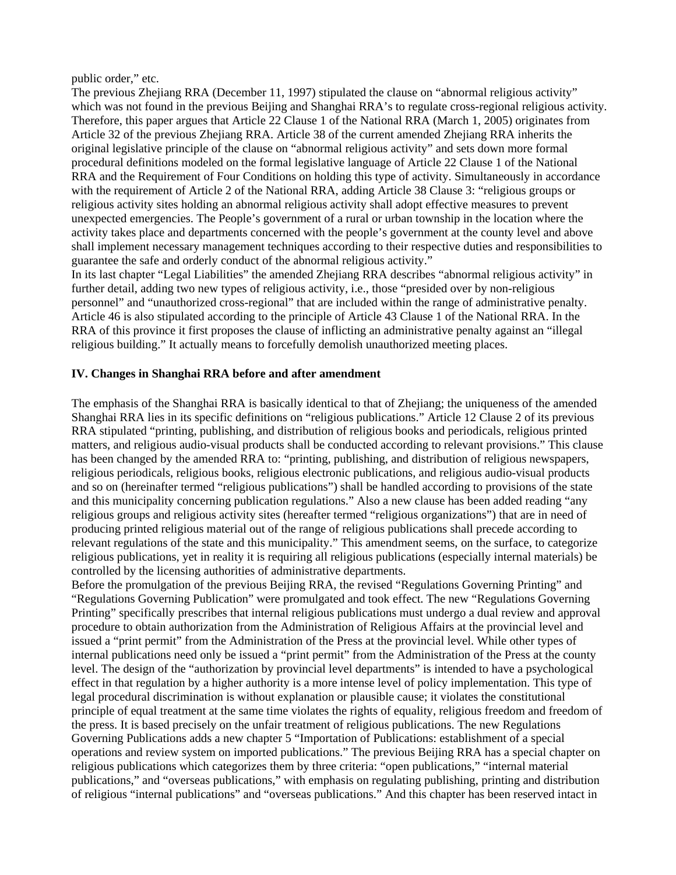public order," etc.

The previous Zhejiang RRA (December 11, 1997) stipulated the clause on "abnormal religious activity" which was not found in the previous Beijing and Shanghai RRA's to regulate cross-regional religious activity. Therefore, this paper argues that Article 22 Clause 1 of the National RRA (March 1, 2005) originates from Article 32 of the previous Zhejiang RRA. Article 38 of the current amended Zhejiang RRA inherits the original legislative principle of the clause on "abnormal religious activity" and sets down more formal procedural definitions modeled on the formal legislative language of Article 22 Clause 1 of the National RRA and the Requirement of Four Conditions on holding this type of activity. Simultaneously in accordance with the requirement of Article 2 of the National RRA, adding Article 38 Clause 3: "religious groups or religious activity sites holding an abnormal religious activity shall adopt effective measures to prevent unexpected emergencies. The People's government of a rural or urban township in the location where the activity takes place and departments concerned with the people's government at the county level and above shall implement necessary management techniques according to their respective duties and responsibilities to guarantee the safe and orderly conduct of the abnormal religious activity."

In its last chapter "Legal Liabilities" the amended Zhejiang RRA describes "abnormal religious activity" in further detail, adding two new types of religious activity, i.e., those "presided over by non-religious personnel" and "unauthorized cross-regional" that are included within the range of administrative penalty. Article 46 is also stipulated according to the principle of Article 43 Clause 1 of the National RRA. In the RRA of this province it first proposes the clause of inflicting an administrative penalty against an "illegal religious building." It actually means to forcefully demolish unauthorized meeting places.

### **IV. Changes in Shanghai RRA before and after amendment**

The emphasis of the Shanghai RRA is basically identical to that of Zhejiang; the uniqueness of the amended Shanghai RRA lies in its specific definitions on "religious publications." Article 12 Clause 2 of its previous RRA stipulated "printing, publishing, and distribution of religious books and periodicals, religious printed matters, and religious audio-visual products shall be conducted according to relevant provisions." This clause has been changed by the amended RRA to: "printing, publishing, and distribution of religious newspapers, religious periodicals, religious books, religious electronic publications, and religious audio-visual products and so on (hereinafter termed "religious publications") shall be handled according to provisions of the state and this municipality concerning publication regulations." Also a new clause has been added reading "any religious groups and religious activity sites (hereafter termed "religious organizations") that are in need of producing printed religious material out of the range of religious publications shall precede according to relevant regulations of the state and this municipality." This amendment seems, on the surface, to categorize religious publications, yet in reality it is requiring all religious publications (especially internal materials) be controlled by the licensing authorities of administrative departments.

Before the promulgation of the previous Beijing RRA, the revised "Regulations Governing Printing" and "Regulations Governing Publication" were promulgated and took effect. The new "Regulations Governing Printing" specifically prescribes that internal religious publications must undergo a dual review and approval procedure to obtain authorization from the Administration of Religious Affairs at the provincial level and issued a "print permit" from the Administration of the Press at the provincial level. While other types of internal publications need only be issued a "print permit" from the Administration of the Press at the county level. The design of the "authorization by provincial level departments" is intended to have a psychological effect in that regulation by a higher authority is a more intense level of policy implementation. This type of legal procedural discrimination is without explanation or plausible cause; it violates the constitutional principle of equal treatment at the same time violates the rights of equality, religious freedom and freedom of the press. It is based precisely on the unfair treatment of religious publications. The new Regulations Governing Publications adds a new chapter 5 "Importation of Publications: establishment of a special operations and review system on imported publications." The previous Beijing RRA has a special chapter on religious publications which categorizes them by three criteria: "open publications," "internal material publications," and "overseas publications," with emphasis on regulating publishing, printing and distribution of religious "internal publications" and "overseas publications." And this chapter has been reserved intact in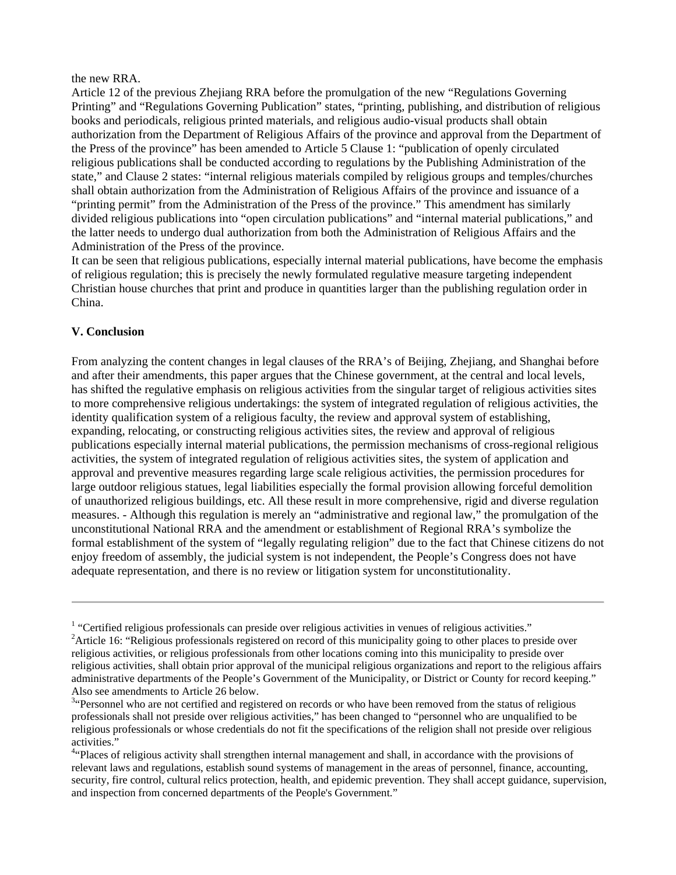#### the new RRA.

Article 12 of the previous Zhejiang RRA before the promulgation of the new "Regulations Governing Printing" and "Regulations Governing Publication" states, "printing, publishing, and distribution of religious books and periodicals, religious printed materials, and religious audio-visual products shall obtain authorization from the Department of Religious Affairs of the province and approval from the Department of the Press of the province" has been amended to Article 5 Clause 1: "publication of openly circulated religious publications shall be conducted according to regulations by the Publishing Administration of the state," and Clause 2 states: "internal religious materials compiled by religious groups and temples/churches shall obtain authorization from the Administration of Religious Affairs of the province and issuance of a "printing permit" from the Administration of the Press of the province." This amendment has similarly divided religious publications into "open circulation publications" and "internal material publications," and the latter needs to undergo dual authorization from both the Administration of Religious Affairs and the Administration of the Press of the province.

It can be seen that religious publications, especially internal material publications, have become the emphasis of religious regulation; this is precisely the newly formulated regulative measure targeting independent Christian house churches that print and produce in quantities larger than the publishing regulation order in China.

#### **V. Conclusion**

From analyzing the content changes in legal clauses of the RRA's of Beijing, Zhejiang, and Shanghai before and after their amendments, this paper argues that the Chinese government, at the central and local levels, has shifted the regulative emphasis on religious activities from the singular target of religious activities sites to more comprehensive religious undertakings: the system of integrated regulation of religious activities, the identity qualification system of a religious faculty, the review and approval system of establishing, expanding, relocating, or constructing religious activities sites, the review and approval of religious publications especially internal material publications, the permission mechanisms of cross-regional religious activities, the system of integrated regulation of religious activities sites, the system of application and approval and preventive measures regarding large scale religious activities, the permission procedures for large outdoor religious statues, legal liabilities especially the formal provision allowing forceful demolition of unauthorized religious buildings, etc. All these result in more comprehensive, rigid and diverse regulation measures. - Although this regulation is merely an "administrative and regional law," the promulgation of the unconstitutional National RRA and the amendment or establishment of Regional RRA's symbolize the formal establishment of the system of "legally regulating religion" due to the fact that Chinese citizens do not enjoy freedom of assembly, the judicial system is not independent, the People's Congress does not have adequate representation, and there is no review or litigation system for unconstitutionality.

<sup>&</sup>lt;sup>1</sup> "Certified religious professionals can preside over religious activities in venues of religious activities."<br> $2 \text{ A trial of }$  "Religious professionals registared on regard of this municipality going to other places to pro-

<sup>&</sup>lt;sup>2</sup> Article 16: "Religious professionals registered on record of this municipality going to other places to preside over religious activities, or religious professionals from other locations coming into this municipality to preside over religious activities, shall obtain prior approval of the municipal religious organizations and report to the religious affairs administrative departments of the People's Government of the Municipality, or District or County for record keeping." Also see amendments to Article 26 below.

<sup>&</sup>lt;sup>3.</sup> Personnel who are not certified and registered on records or who have been removed from the status of religious professionals shall not preside over religious activities," has been changed to "personnel who are unqualified to be religious professionals or whose credentials do not fit the specifications of the religion shall not preside over religious activities."

<sup>&</sup>lt;sup>4.</sup> Places of religious activity shall strengthen internal management and shall, in accordance with the provisions of relevant laws and regulations, establish sound systems of management in the areas of personnel, finance, accounting, security, fire control, cultural relics protection, health, and epidemic prevention. They shall accept guidance, supervision, and inspection from concerned departments of the People's Government."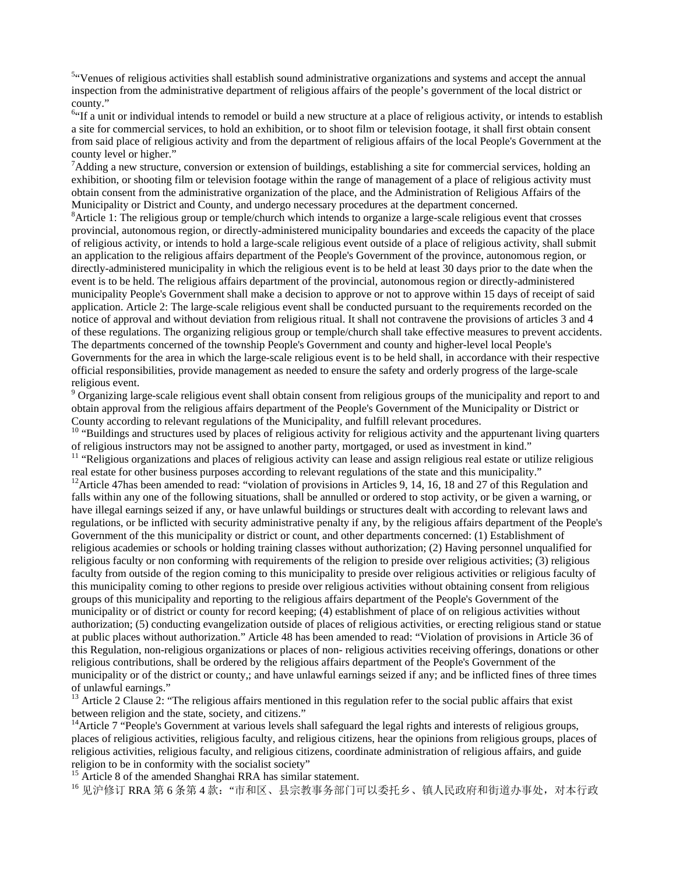<sup>5.4</sup>Venues of religious activities shall establish sound administrative organizations and systems and accept the annual inspection from the administrative department of religious affairs of the people's government of the local district or county."

<sup>6</sup> If a unit or individual intends to remodel or build a new structure at a place of religious activity, or intends to establish a site for commercial services, to hold an exhibition, or to shoot film or television footage, it shall first obtain consent from said place of religious activity and from the department of religious affairs of the local People's Government at the county level or higher."

 $^7$ Adding a new structure, conversion or extension of buildings, establishing a site for commercial services, holding an exhibition, or shooting film or television footage within the range of management of a place of religious activity must obtain consent from the administrative organization of the place, and the Administration of Religious Affairs of the Municipality or District and County, and undergo necessary procedures at the department concerned.

 ${}^8$ Article 1: The religious group or temple/church which intends to organize a large-scale religious event that crosses provincial, autonomous region, or directly-administered municipality boundaries and exceeds the capacity of the place of religious activity, or intends to hold a large-scale religious event outside of a place of religious activity, shall submit an application to the religious affairs department of the People's Government of the province, autonomous region, or directly-administered municipality in which the religious event is to be held at least 30 days prior to the date when the event is to be held. The religious affairs department of the provincial, autonomous region or directly-administered municipality People's Government shall make a decision to approve or not to approve within 15 days of receipt of said application. Article 2: The large-scale religious event shall be conducted pursuant to the requirements recorded on the notice of approval and without deviation from religious ritual. It shall not contravene the provisions of articles 3 and 4 of these regulations. The organizing religious group or temple/church shall take effective measures to prevent accidents. The departments concerned of the township People's Government and county and higher-level local People's Governments for the area in which the large-scale religious event is to be held shall, in accordance with their respective official responsibilities, provide management as needed to ensure the safety and orderly progress of the large-scale religious event.

<sup>9</sup> Organizing large-scale religious event shall obtain consent from religious groups of the municipality and report to and obtain approval from the religious affairs department of the People's Government of the Municipality or District or County according to relevant regulations of the Municipality, and fulfill relevant procedures.<br><sup>10</sup> "Buildings and structures used by places of religious activity for religious activity and the appurtenant living quarters

of religious instructors may not be assigned to another party, mortgaged, or used as investment in kind."

 $11$  "Religious organizations and places of religious activity can lease and assign religious real estate or utilize religious real estate for other business purposes according to relevant regulations of the state and thi

<sup>12</sup>Article 47has been amended to read: "violation of provisions in Articles 9, 14, 16, 18 and 27 of this Regulation and falls within any one of the following situations, shall be annulled or ordered to stop activity, or be given a warning, or have illegal earnings seized if any, or have unlawful buildings or structures dealt with according to relevant laws and regulations, or be inflicted with security administrative penalty if any, by the religious affairs department of the People's Government of the this municipality or district or count, and other departments concerned: (1) Establishment of religious academies or schools or holding training classes without authorization; (2) Having personnel unqualified for religious faculty or non conforming with requirements of the religion to preside over religious activities; (3) religious faculty from outside of the region coming to this municipality to preside over religious activities or religious faculty of this municipality coming to other regions to preside over religious activities without obtaining consent from religious groups of this municipality and reporting to the religious affairs department of the People's Government of the municipality or of district or county for record keeping; (4) establishment of place of on religious activities without authorization; (5) conducting evangelization outside of places of religious activities, or erecting religious stand or statue at public places without authorization." Article 48 has been amended to read: "Violation of provisions in Article 36 of this Regulation, non-religious organizations or places of non- religious activities receiving offerings, donations or other religious contributions, shall be ordered by the religious affairs department of the People's Government of the municipality or of the district or county,; and have unlawful earnings seized if any; and be inflicted fines of three times of unlawful earnings."

 $13$  Article 2 Clause 2: "The religious affairs mentioned in this regulation refer to the social public affairs that exist between religion and the state, society, and citizens."

<sup>14</sup>Article 7 "People's Government at various levels shall safeguard the legal rights and interests of religious groups, places of religious activities, religious faculty, and religious citizens, hear the opinions from religious groups, places of religious activities, religious faculty, and religious citizens, coordinate administration of religious affairs, and guide religion to be in conformity with the socialist society"<br><sup>15</sup> Article 8 of the amended Shanghai RRA has similar statement.

<sup>16</sup> 见沪修订 RRA 第 6 条第 4 款: "市和区、县宗教事务部门可以委托乡、镇人民政府和街道办事处,对本行政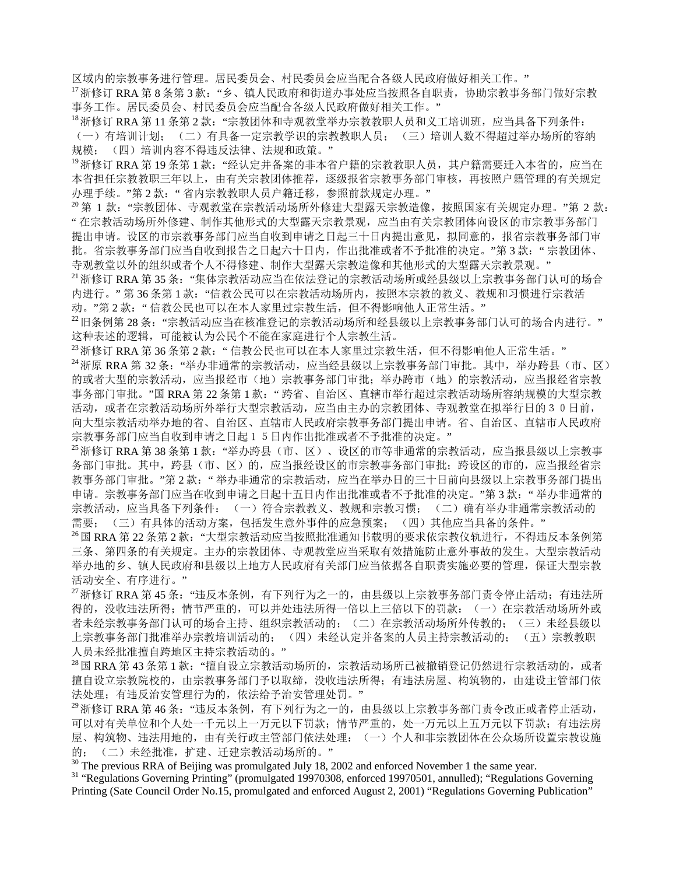区域内的宗教事务进行管理。居民委员会、村民委员会应当配合各级人民政府做好相关工作。" 17浙修订 RRA 第 8 条第 3 款: "乡、镇人民政府和街道办事处应当按照各自职责,协助宗教事务部门做好宗教

事务工作。居民委员会、村民委员会应当配合各级人民政府做好相关工作。"<br><sup>18</sup>浙修订 RRA 第 11 条第 2 款: "宗教团体和寺观教堂举办宗教教职人员和义工培训班,应当具备下列条件: (一)有培训计划; (二)有具备一定宗教学识的宗教教职人员; (三)培训人数不得超过举办场所的容纳 规模; (四)培训内容不得违反法律、法规和政策。"

<sup>19</sup>浙修订 RRA 第 19 条第 1 款: "经认定并备案的非本省户籍的宗教教职人员,其户籍需要迁入本省的,应当在 本省担任宗教教职三年以上,由有关宗教团体推荐,逐级报省宗教事务部门审核,再按照户籍管理的有关规定 办理手续。"第 2 款: " 省内宗教教职人员户籍迁移,参照前款规定办理。"<br><sup>20</sup> 第 1 款: "宗教团体、寺观教堂在宗教活动场所外修建大型露天宗教造像,按照国家有关规定办理。"第 2 款:

" 在宗教活动场所外修建、制作其他形式的大型露天宗教景观,应当由有关宗教团体向设区的市宗教事务部门 提出申请。设区的市宗教事务部门应当自收到申请之日起三十日内提出意见,拟同意的,报省宗教事务部门审 批。省宗教事务部门应当自收到报告之日起六十日内,作出批准或者不予批准的决定。"第3款:"宗教团体、

寺观教堂以外的组织或者个人不得修建、制作大型露天宗教造像和其他形式的大型露天宗教景观。" 21111111111111111111111111111111111<br>21浙修订 RRA 第 35 条: "集体宗教活动应当在依法登记的宗教活动场所或经县级以上宗教事务部门认可的场合 内进行。"第 36 条第 1 款: "信教公民可以在宗教活动场所内, 按照本宗教的教义、教规和习惯进行宗教活

动。"第 2 款: " 信教公民也可以在本人家里过宗教生活, 但不得影响他人正常生活。" 2 款: " 信教公民也可以在本人家里过宗教生活,但不得影响他人正常生活。" 这种表述的逻辑,可能被认为公民个不能在家庭进行个人宗教生活。

<sup>23</sup>浙修订 RRA 第 36 条第 2 款: " 信教公民也可以在本人家里过宗教生活,但不得影响他人正常生活。" 24<br><sup>24</sup>浙原 RRA 第 32 条: "举办非通常的宗教活动,应当经县级以上宗教事务部门审批。其中,举办跨县(市、区) 的或者大型的宗教活动,应当报经市(地)宗教事务部门审批;举办跨市(地)的宗教活动,应当报经省宗教 事务部门审批。"国 RRA 第 22 条第 1 款: "跨省、自治区、直辖市举行超过宗教活动场所容纳规模的大型宗教 活动,或者在宗教活动场所外举行大型宗教活动,应当由主办的宗教团体、寺观教堂在拟举行日的30日前, 向大型宗教活动举办地的省、自治区、直辖市人民政府宗教事务部门提出申请。省、自治区、直辖市人民政府 宗教事务部门应当自收到申请之日起15日内作出批准或者不予批准的决定。" 25当报县级以上宗教事<br>25浙修订 RRA 第 38 条第 1 款: "举办跨县(市、区)、设区的市等非通常的宗教活动,应当报县级以上宗教事

务部门审批。其中,跨县(市、区)的,应当报经设区的市宗教事务部门审批;跨设区的市的,应当报经省宗 教事务部门审批。"第 2 款: "举办非通常的宗教活动,应当在举办日的三十日前向县级以上宗教事务部门提出 申请。宗教事务部门应当在收到申请之日起十五日内作出批准或者不予批准的决定。"第3款: "举办非通常的 宗教活动,应当具备下列条件: (一)符合宗教教义、教规和宗教习惯; (二)确有举办非通常宗教活动的

需要; (三)有具体的活动方案,包括发生意外事件的应急预案; (四)其他应当具备的条件。"<br><sup>26</sup>国 RRA 第 22 条第 2 款: "大型宗教活动应当按照批准通知书载明的要求依宗教仪轨进行,不得违反本条例第 三条、第四条的有关规定。主办的宗教团体、寺观教堂应当采取有效措施防止意外事故的发生。大型宗教活动 举办地的乡、镇人民政府和县级以上地方人民政府有关部门应当依据各自职责实施必要的管理,保证大型宗教 活动安全、有序进行。"<br><sup>27</sup>浙修订 RRA 第 45 条: "违反本条例,有下列行为之一的,由县级以上宗教事务部门责令停止活动; 有违法所

得的,没收违法所得;情节严重的,可以并处违法所得一倍以上三倍以下的罚款:(一)在宗教活动场所外或 者未经宗教事务部门认可的场合主持、组织宗教活动的;(二)在宗教活动场所外传教的;(三)未经县级以 上宗教事务部门批准举办宗教培训活动的; (四)未经认定并备案的人员主持宗教活动的; (五)宗教教职 人员未经批准擅自跨地区主持宗教活动的。"<br><sup>28</sup>国 RRA 第 43 条第 1 款: "擅自设立宗教活动场所的,宗教活动场所已被撤销登记仍然进行宗教活动的,或者

擅自设立宗教院校的,由宗教事务部门予以取缔,没收违法所得;有违法房屋、构筑物的,由建设主管部门依 法处理;有违反治安管理行为的,依法给予治安管理处罚。"

<sup>29</sup>浙修订 RRA 第 46 条:"违反本条例,有下列行为之一的,由县级以上宗教事务部门责令改正或者停止活动, 可以对有关单位和个人处一千元以上一万元以下罚款;情节严重的,处一万元以上五万元以下罚款;有违法房 屋、构筑物、违法用地的,由有关行政主管部门依法处理:(一)个人和非宗教团体在公众场所设置宗教设施 的; (二)未经批准,扩建、迁建宗教活动场所的。"<br><sup>30</sup> The previous RRA of Beijing was promulgated July 18, 2002 and enforced November 1 the same year.

<sup>31</sup> "Regulations Governing Printing" (promulgated 19970308, enforced 19970501, annulled); "Regulations Governing Printing (Sate Council Order No.15, promulgated and enforced August 2, 2001) "Regulations Governing Publication"